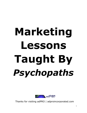## **Marketing Lessons Taught By** *Psychopaths*



Thanks for visiting adPRO | adproincorporated.com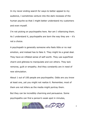In my never ending search for ways to better appeal to my audience, I sometimes venture into the dark recesses of the human psyche so that I might better understand my customers and even myself.

I'm not picking on psychopaths here. Nor am I villainizing them. As I understand it, psychopaths are born the way they are  $-$  it's not a choice.

A psychopath is generally someone who feels little or no real emotion, and instead has to fake it. They might lie a great deal. They have an inflated sense of self-worth. They use superficial charm and glibness to manipulate and con others. They lack remorse, guilt or empathy. And they constantly are in need of new stimulation.

About 1 out of 100 people are psychopaths. Odds are you know at least one, yet you might not realize it. Remember, most of them are not killers as the media might portray them.

But they can be incredibly charming and persuasive. Some psychopaths can find a person's weak spot in minutes,

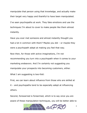manipulate that person using that knowledge, and actually make their target very happy and thankful to have been manipulated.

I've seen psychopaths at work. They fake emotions and use the techniques I'm about to cover to make people like them almost instantly.

Have you ever met someone and almost instantly thought you had a lot in common with them? Maybe you did – or maybe they were a psychopath adept at making you feel that way.

Now then, for those with active imaginations, I'm not recommending you turn into a psychopath when it comes to your marketing endeavors. And I'm certainly not suggesting you manipulate your prospects into becoming customers, either.

What I am suggesting is two-fold:

First, we can learn about influence from those who are skilled at it – and psychopaths tend to be especially adept at influencing others.

Second, forewarned is forearmed, which is to say once you are aware of these manipulation techniques, you will be better able to

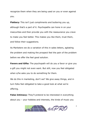recognize them when they are being used on you or even against you.

**Flattery:** This isn't just compliments and buttering you up, although that's a part of it. Psychopaths can hone in on your insecurities and then provide you with the reassurance you crave to make you feel better. This makes you like them, trust them, and follow their suggestions.

As Marketers we do a variation of this in sales letters, agitating the problem and making the prospect feel the pain of the problem before we offer the feel good solution.

**Favors and Gifts:** The psychopath will do you a favor or give you a gift you might not even want. But still, now you feel obligated when s/he asks you to do something for them.

We do this in marketing, don't we? We give away things, and in turn folks feel obligated to take a good look at what we're offering.

**False Intimacy:** They'll pretend to be interested in everything about you – your hobbies and interests, the kinds of music you

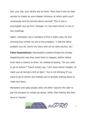like, your job, your family and so forth. Then they'll tell you fake secrets to create an even deeper intimacy, at which point you'll reciprocate and tell secrets about yourself. This is how a psychopath can go from 'stranger' to 'new best friend' in one or two meetings.

Again, marketers use a variation of this in sales copy, by first showing how similar we are to the prospect. "I had the same problem you do, here's my story with all my dark secrets, etc."

**False Expectations:** Psychopaths pretend things are already happening the way they want them to happen, before others even have a chance to think. So instead of asking, "Do you want to go to dinner?" They'll simply say, "Let's have dinner tonight, I'll meet you at Harvey's Grill at 8pm." You're not thinking IF you want to go to dinner, but instead you're already making plans to meet him there.

Marketers and sales people alike will often 'assume the sale' to get the prospect to simply go along, rather than feeling like they have to 'decide.'

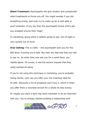**Silent Treatment:** Psychopaths will give random and unexpected silent treatments to throw you off. You might wonder if you did something wrong, and even try to make up for it with gifts or overt kindness. If you do, then the psychopath knows s/he's got you wrapped around their finger.

In marketing, going silent is seldom going to pay. Out of sight is very quickly out of mind.

**Over Asking:** This is crafty – the psychopath asks you for this BIG favor, knowing you'll balk. But then you feel bad that you had to say no. So when they now ask you for a small favor, you readily agree. Of course, it was the second request that they really wanted all along.

If you're not using this technique in marketing, you're probably losing money. Let's say you offer your live coaching class for \$1,000. Obviously a lot of prospects won't buy it, which is when you offer them a recorded version for a whole lot less money.

Or maybe you want a fairly big name marketer to do an interview with you. You've already started building a relationship with

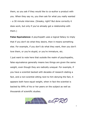them, so you ask if they would like to co-author a product with you. When they say no, you then ask for what you really wanted – a 30 minute interview. (Sneaky, right? But done correctly it does work, but only if you've already got a relationship with them.)

**False Equivalence:** A psychopath uses a logical fallacy to imply that if you don't do what they desire, then it means something else. For example, if you don't do what they want, then you don't love them, or you're stupid, or you're immature, etc.

I just want to note here that outside the realm of psychopaths, false equivalence generally means two things are given the same weight, even though they are radically unequal. For example, if you have a scientist backed with decades of research stating a fact, and a non-scientist sitting next to him denying the fact, it appears both have equal weight, when in fact the scientist is backed by 99% of his or her peers on the subject as well as thousands of scientific studies.

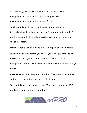In marketing, we can certainly use tactics like these to manipulate our customers, but it's shady at best. I do recommend you stay on the lookout for it.

You'll see this tactic used continuously on television and the internet, with ads telling you that you're not a man if you don't drink a certain drink, smoke a certain cigarette, drive a certain car and so forth.

Or if you don't own an iPhone, you're not part of the 'in' crowd. It would be like me telling you that if you don't subscribe to my newsletter, then you're a lousy marketer. That's blatant manipulation and in my opinion it's time marketers let this one go forever.

**Fake Normal:** They communicate that, "Everyone is doing this," so that the person feels inclined to do it, too.

We use this one a lot in marketing. "Everyone is grabbing ABC product, you better gets yours, too!"